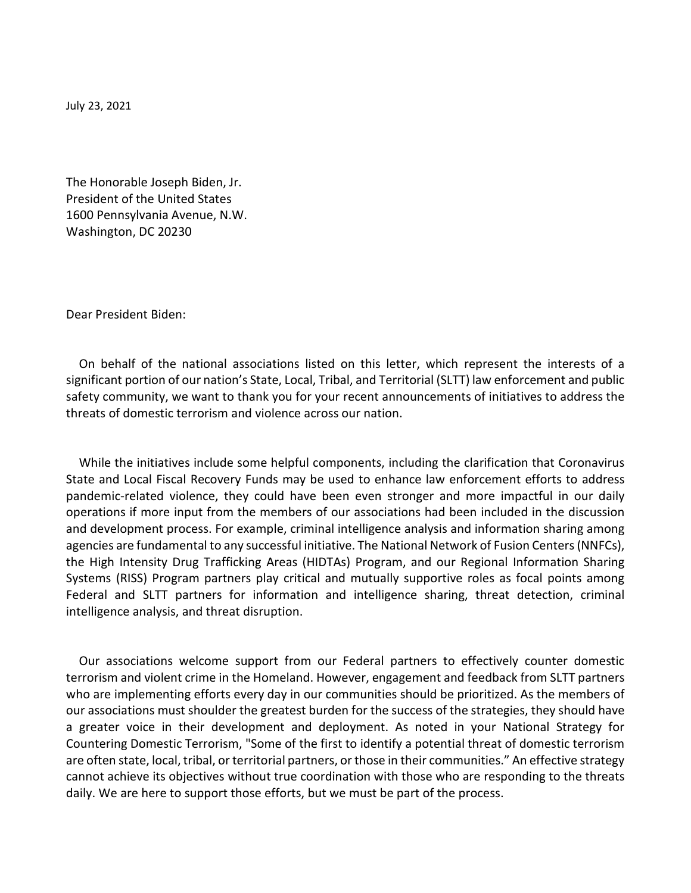July 23, 2021

The Honorable Joseph Biden, Jr. President of the United States 1600 Pennsylvania Avenue, N.W. Washington, DC 20230

Dear President Biden:

On behalf of the national associations listed on this letter, which represent the interests of a significant portion of our nation's State, Local, Tribal, and Territorial (SLTT) law enforcement and public safety community, we want to thank you for your recent announcements of initiatives to address the threats of domestic terrorism and violence across our nation.

While the initiatives include some helpful components, including the clarification that Coronavirus State and Local Fiscal Recovery Funds may be used to enhance law enforcement efforts to address pandemic-related violence, they could have been even stronger and more impactful in our daily operations if more input from the members of our associations had been included in the discussion and development process. For example, criminal intelligence analysis and information sharing among agencies are fundamental to any successful initiative. The National Network of Fusion Centers (NNFCs), the High Intensity Drug Trafficking Areas (HIDTAs) Program, and our Regional Information Sharing Systems (RISS) Program partners play critical and mutually supportive roles as focal points among Federal and SLTT partners for information and intelligence sharing, threat detection, criminal intelligence analysis, and threat disruption.

Our associations welcome support from our Federal partners to effectively counter domestic terrorism and violent crime in the Homeland. However, engagement and feedback from SLTT partners who are implementing efforts every day in our communities should be prioritized. As the members of our associations must shoulder the greatest burden for the success of the strategies, they should have a greater voice in their development and deployment. As noted in your National Strategy for Countering Domestic Terrorism, "Some of the first to identify a potential threat of domestic terrorism are often state, local, tribal, or territorial partners, or those in their communities." An effective strategy cannot achieve its objectives without true coordination with those who are responding to the threats daily. We are here to support those efforts, but we must be part of the process.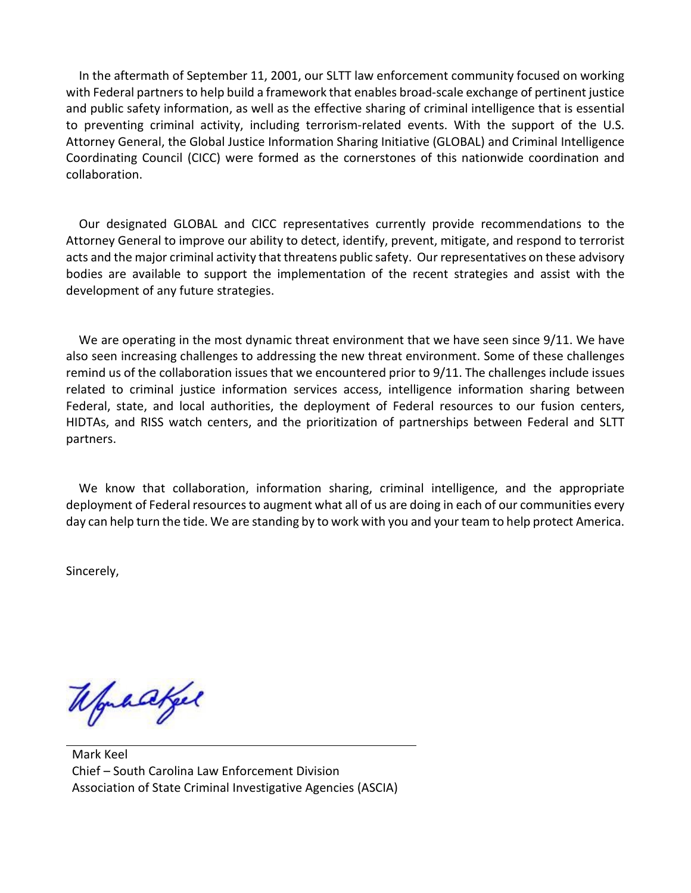In the aftermath of September 11, 2001, our SLTT law enforcement community focused on working with Federal partners to help build a framework that enables broad-scale exchange of pertinent justice and public safety information, as well as the effective sharing of criminal intelligence that is essential to preventing criminal activity, including terrorism-related events. With the support of the U.S. Attorney General, the Global Justice Information Sharing Initiative (GLOBAL) and Criminal Intelligence Coordinating Council (CICC) were formed as the cornerstones of this nationwide coordination and collaboration.

Our designated GLOBAL and CICC representatives currently provide recommendations to the Attorney General to improve our ability to detect, identify, prevent, mitigate, and respond to terrorist acts and the major criminal activity that threatens public safety. Our representatives on these advisory bodies are available to support the implementation of the recent strategies and assist with the development of any future strategies.

We are operating in the most dynamic threat environment that we have seen since 9/11. We have also seen increasing challenges to addressing the new threat environment. Some of these challenges remind us of the collaboration issues that we encountered prior to 9/11. The challenges include issues related to criminal justice information services access, intelligence information sharing between Federal, state, and local authorities, the deployment of Federal resources to our fusion centers, HIDTAs, and RISS watch centers, and the prioritization of partnerships between Federal and SLTT partners.

We know that collaboration, information sharing, criminal intelligence, and the appropriate deployment of Federal resources to augment what all of us are doing in each of our communities every day can help turn the tide. We are standing by to work with you and your team to help protect America.

Sincerely,

Workakel

Mark Keel Chief – South Carolina Law Enforcement Division Association of State Criminal Investigative Agencies (ASCIA)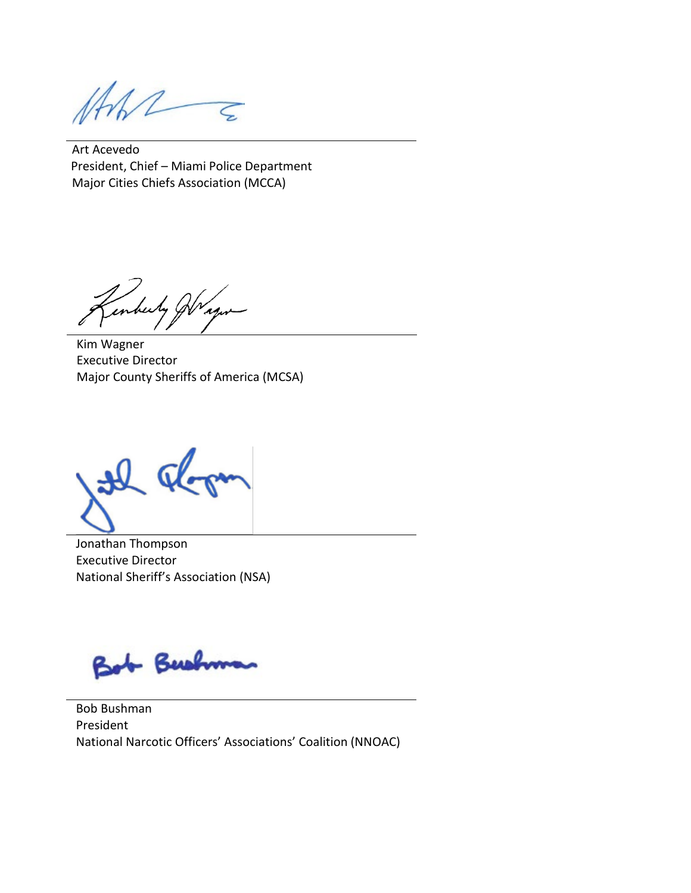Art Acevedo President, Chief – Miami Police Department Major Cities Chiefs Association (MCCA)

inberty Jr. 'A J,

Kim Wagner Executive Director Major County Sheriffs of America (MCSA)

 $\Omega$ 

Jonathan Thompson Executive Director National Sheriff's Association (NSA)

Bush

Bob Bushman President National Narcotic Officers' Associations' Coalition (NNOAC)